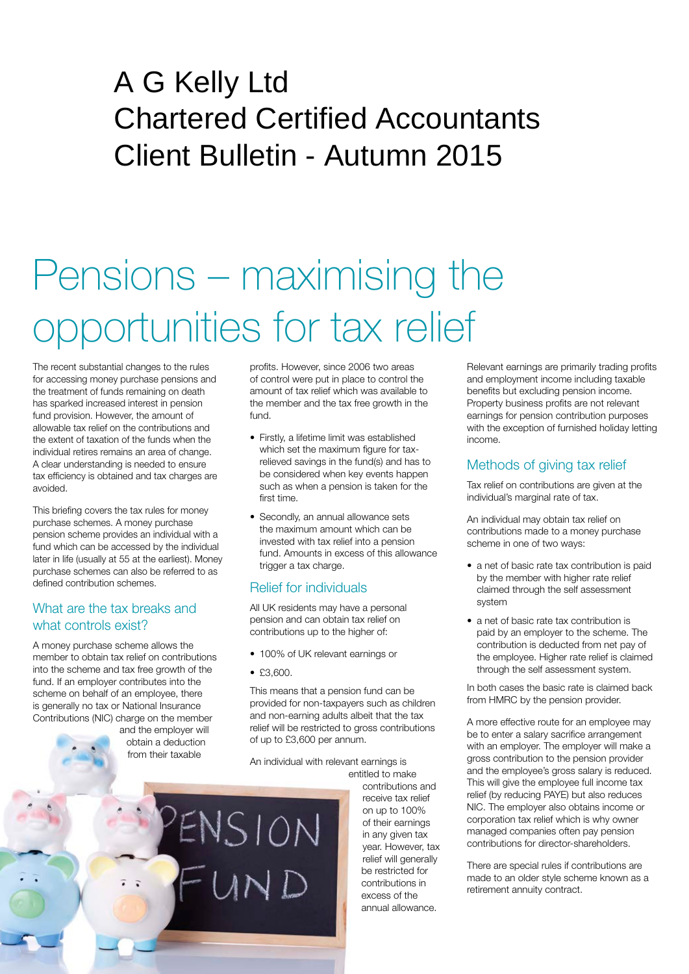# A G Kelly Ltd Chartered Certified Accountants Client Bulletin - Autumn 2015

# Pensions – maximising the opportunities for tax relief

The recent substantial changes to the rules for accessing money purchase pensions and the treatment of funds remaining on death has sparked increased interest in pension fund provision. However, the amount of allowable tax relief on the contributions and the extent of taxation of the funds when the individual retires remains an area of change. A clear understanding is needed to ensure tax efficiency is obtained and tax charges are avoided.

This briefing covers the tax rules for money purchase schemes. A money purchase pension scheme provides an individual with a fund which can be accessed by the individual later in life (usually at 55 at the earliest). Money purchase schemes can also be referred to as defined contribution schemes.

#### What are the tax breaks and what controls exist?

A money purchase scheme allows the member to obtain tax relief on contributions into the scheme and tax free growth of the fund. If an employer contributes into the scheme on behalf of an employee, there is generally no tax or National Insurance Contributions (NIC) charge on the member

> and the employer will obtain a deduction from their taxable

profits. However, since 2006 two areas of control were put in place to control the amount of tax relief which was available to the member and the tax free growth in the fund.

- Firstly, a lifetime limit was established which set the maximum figure for taxrelieved savings in the fund(s) and has to be considered when key events happen such as when a pension is taken for the first time.
- Secondly, an annual allowance sets the maximum amount which can be invested with tax relief into a pension fund. Amounts in excess of this allowance trigger a tax charge.

### Relief for individuals

All UK residents may have a personal pension and can obtain tax relief on contributions up to the higher of:

- 100% of UK relevant earnings or
- $•$   $$3,600.$

ENSION

This means that a pension fund can be provided for non-taxpayers such as children and non-earning adults albeit that the tax relief will be restricted to gross contributions of up to £3,600 per annum.

An individual with relevant earnings is

entitled to make contributions and receive tax relief on up to 100% of their earnings in any given tax year. However, tax relief will generally be restricted for contributions in excess of the annual allowance.

Relevant earnings are primarily trading profits and employment income including taxable benefits but excluding pension income. Property business profits are not relevant earnings for pension contribution purposes with the exception of furnished holiday letting income.

# Methods of giving tax relief

Tax relief on contributions are given at the individual's marginal rate of tax.

An individual may obtain tax relief on contributions made to a money purchase scheme in one of two ways:

- a net of basic rate tax contribution is paid by the member with higher rate relief claimed through the self assessment system
- a net of basic rate tax contribution is paid by an employer to the scheme. The contribution is deducted from net pay of the employee. Higher rate relief is claimed through the self assessment system.

In both cases the basic rate is claimed back from HMRC by the pension provider.

A more effective route for an employee may be to enter a salary sacrifice arrangement with an employer. The employer will make a gross contribution to the pension provider and the employee's gross salary is reduced. This will give the employee full income tax relief (by reducing PAYE) but also reduces NIC. The employer also obtains income or corporation tax relief which is why owner managed companies often pay pension contributions for director-shareholders.

There are special rules if contributions are made to an older style scheme known as a retirement annuity contract.